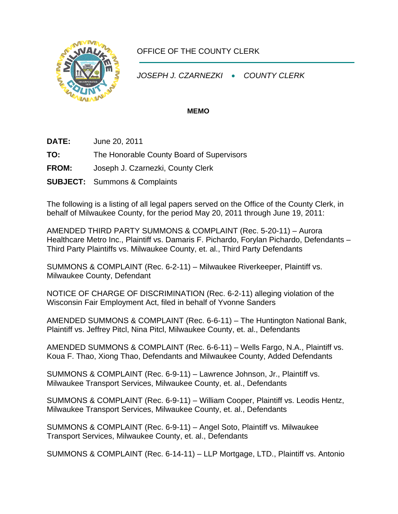

## OFFICE OF THE COUNTY CLERK

*JOSEPH J. CZARNEZKI* • *COUNTY CLERK* 

## **MEMO**

- **DATE:** June 20, 2011
- **TO:** The Honorable County Board of Supervisors
- **FROM:** Joseph J. Czarnezki, County Clerk
- **SUBJECT:** Summons & Complaints

The following is a listing of all legal papers served on the Office of the County Clerk, in behalf of Milwaukee County, for the period May 20, 2011 through June 19, 2011:

AMENDED THIRD PARTY SUMMONS & COMPLAINT (Rec. 5-20-11) – Aurora Healthcare Metro Inc., Plaintiff vs. Damaris F. Pichardo, Forylan Pichardo, Defendants – Third Party Plaintiffs vs. Milwaukee County, et. al., Third Party Defendants

SUMMONS & COMPLAINT (Rec. 6-2-11) – Milwaukee Riverkeeper, Plaintiff vs. Milwaukee County, Defendant

NOTICE OF CHARGE OF DISCRIMINATION (Rec. 6-2-11) alleging violation of the Wisconsin Fair Employment Act, filed in behalf of Yvonne Sanders

AMENDED SUMMONS & COMPLAINT (Rec. 6-6-11) – The Huntington National Bank, Plaintiff vs. Jeffrey Pitcl, Nina Pitcl, Milwaukee County, et. al., Defendants

AMENDED SUMMONS & COMPLAINT (Rec. 6-6-11) – Wells Fargo, N.A., Plaintiff vs. Koua F. Thao, Xiong Thao, Defendants and Milwaukee County, Added Defendants

SUMMONS & COMPLAINT (Rec. 6-9-11) – Lawrence Johnson, Jr., Plaintiff vs. Milwaukee Transport Services, Milwaukee County, et. al., Defendants

SUMMONS & COMPLAINT (Rec. 6-9-11) – William Cooper, Plaintiff vs. Leodis Hentz, Milwaukee Transport Services, Milwaukee County, et. al., Defendants

SUMMONS & COMPLAINT (Rec. 6-9-11) – Angel Soto, Plaintiff vs. Milwaukee Transport Services, Milwaukee County, et. al., Defendants

SUMMONS & COMPLAINT (Rec. 6-14-11) – LLP Mortgage, LTD., Plaintiff vs. Antonio